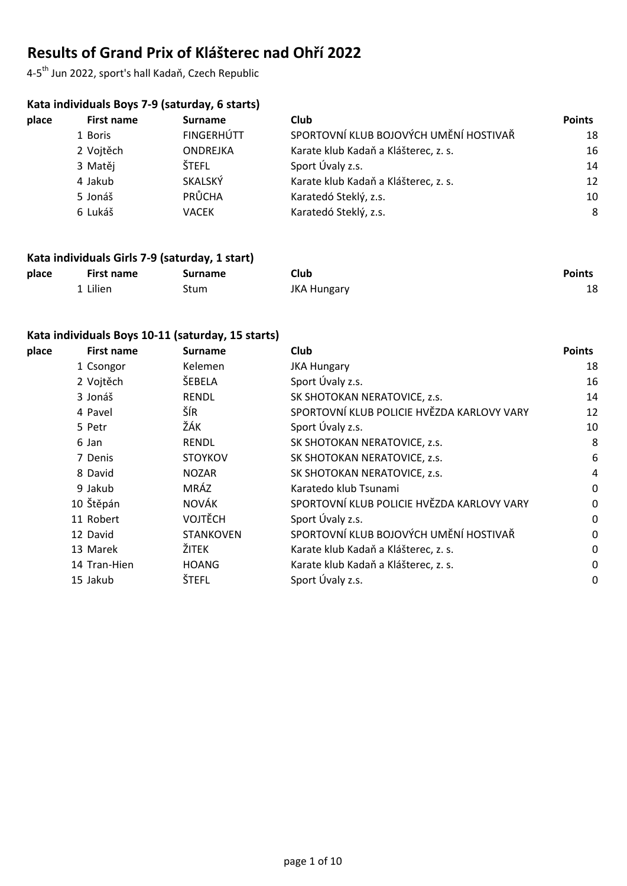# **Results of Grand Prix of Klášterec nad Ohří 2022**

4-5th Jun 2022, sport's hall Kadaň, Czech Republic

# **Kata individuals Boys 7-9 (saturday, 6 starts)**

| place | First name | <b>Surname</b>    | Club                                   | <b>Points</b> |
|-------|------------|-------------------|----------------------------------------|---------------|
|       | 1 Boris    | <b>FINGERHÚTT</b> | SPORTOVNÍ KLUB BOJOVÝCH UMĚNÍ HOSTIVAŘ | 18            |
|       | 2 Vojtěch  | <b>ONDREJKA</b>   | Karate klub Kadaň a Klášterec, z. s.   | 16            |
|       | 3 Matěj    | <b>ŠTEFL</b>      | Sport Úvaly z.s.                       | 14            |
|       | 4 Jakub    | SKALSKÝ           | Karate klub Kadaň a Klášterec, z. s.   | 12            |
|       | 5 Jonáš    | PRŮCHA            | Karatedó Steklý, z.s.                  | 10            |
|       | 6 Lukáš    | VACEK             | Karatedó Steklý, z.s.                  | 8             |

#### **Kata individuals Girls 7-9 (saturday, 1 start)**

| place | <b>First name</b> | <b>Surname</b> | Club               | <b>Points</b> |
|-------|-------------------|----------------|--------------------|---------------|
|       | 1 Lilien          | Stum           | <b>JKA Hungary</b> | 18            |

#### **Kata individuals Boys 10-11 (saturday, 15 starts)**

| place | <b>First name</b> | <b>Surname</b>   | Club                                       | <b>Points</b> |
|-------|-------------------|------------------|--------------------------------------------|---------------|
|       | 1 Csongor         | Kelemen          | <b>JKA Hungary</b>                         | 18            |
|       | 2 Vojtěch         | ŠEBELA           | Sport Úvaly z.s.                           | 16            |
|       | 3 Jonáš           | <b>RENDL</b>     | SK SHOTOKAN NERATOVICE, z.s.               | 14            |
|       | 4 Pavel           | ŠÍR              | SPORTOVNÍ KLUB POLICIE HVĚZDA KARLOVY VARY | 12            |
|       | 5 Petr            | ŽÁK              | Sport Úvaly z.s.                           | 10            |
|       | 6 Jan             | <b>RENDL</b>     | SK SHOTOKAN NERATOVICE, z.s.               | 8             |
|       | 7 Denis           | <b>STOYKOV</b>   | SK SHOTOKAN NERATOVICE, z.s.               | 6             |
|       | 8 David           | <b>NOZAR</b>     | SK SHOTOKAN NERATOVICE, z.s.               | 4             |
|       | 9 Jakub           | MRÁZ             | Karatedo klub Tsunami                      | $\mathbf 0$   |
|       | 10 Štěpán         | <b>NOVÁK</b>     | SPORTOVNÍ KLUB POLICIE HVĚZDA KARLOVY VARY | 0             |
|       | 11 Robert         | <b>VOJTĚCH</b>   | Sport Úvaly z.s.                           | 0             |
|       | 12 David          | <b>STANKOVEN</b> | SPORTOVNÍ KLUB BOJOVÝCH UMĚNÍ HOSTIVAŘ     | $\mathbf 0$   |
|       | 13 Marek          | ŽITEK            | Karate klub Kadaň a Klášterec, z. s.       | 0             |
|       | 14 Tran-Hien      | <b>HOANG</b>     | Karate klub Kadaň a Klášterec, z. s.       | 0             |
|       | 15 Jakub          | <b>ŠTEFL</b>     | Sport Úvaly z.s.                           | 0             |
|       |                   |                  |                                            |               |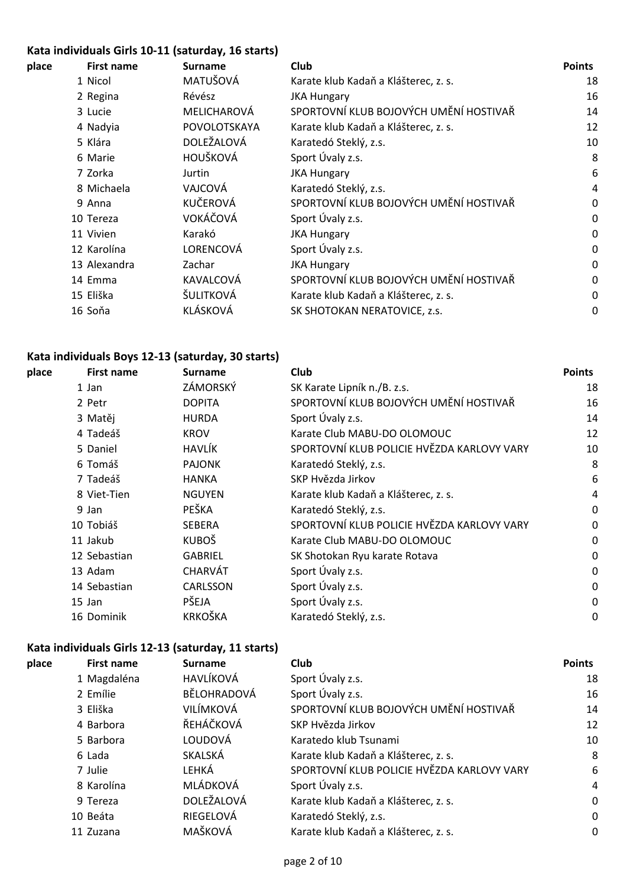# **Kata individuals Girls 10-11 (saturday, 16 starts)**

| place | <b>First name</b> | <b>Surname</b> | <b>Club</b>                            | <b>Points</b> |
|-------|-------------------|----------------|----------------------------------------|---------------|
|       | 1 Nicol           | MATUŠOVÁ       | Karate klub Kadaň a Klášterec, z. s.   | 18            |
|       | 2 Regina          | Révész         | <b>JKA Hungary</b>                     | 16            |
|       | 3 Lucie           | MELICHAROVÁ    | SPORTOVNÍ KLUB BOJOVÝCH UMĚNÍ HOSTIVAŘ | 14            |
|       | 4 Nadyia          | POVOLOTSKAYA   | Karate klub Kadaň a Klášterec, z. s.   | 12            |
|       | 5 Klára           | DOLEŽALOVÁ     | Karatedó Steklý, z.s.                  | 10            |
|       | 6 Marie           | HOUŠKOVÁ       | Sport Úvaly z.s.                       | 8             |
|       | 7 Zorka           | Jurtin         | <b>JKA Hungary</b>                     | 6             |
|       | 8 Michaela        | VAJCOVÁ        | Karatedó Steklý, z.s.                  | 4             |
|       | 9 Anna            | KUČEROVÁ       | SPORTOVNÍ KLUB BOJOVÝCH UMĚNÍ HOSTIVAŘ | 0             |
|       | 10 Tereza         | VOKÁČOVÁ       | Sport Úvaly z.s.                       | 0             |
|       | 11 Vivien         | Karakó         | <b>JKA Hungary</b>                     | $\mathbf 0$   |
|       | 12 Karolína       | LORENCOVÁ      | Sport Úvaly z.s.                       | 0             |
|       | 13 Alexandra      | Zachar         | <b>JKA Hungary</b>                     | $\mathbf 0$   |
|       | 14 Emma           | KAVALCOVÁ      | SPORTOVNÍ KLUB BOJOVÝCH UMĚNÍ HOSTIVAŘ | 0             |
|       | 15 Eliška         | ŠULITKOVÁ      | Karate klub Kadaň a Klášterec, z. s.   | $\mathbf 0$   |
|       | 16 Soňa           | KLÁSKOVÁ       | SK SHOTOKAN NERATOVICE, z.s.           | 0             |
|       |                   |                |                                        |               |

# **Kata individuals Boys 12-13 (saturday, 30 starts)**

| place | <b>First name</b> | <b>Surname</b> | <b>Club</b>                                | <b>Points</b> |
|-------|-------------------|----------------|--------------------------------------------|---------------|
|       | 1 Jan             | ZÁMORSKÝ       | SK Karate Lipník n./B. z.s.                | 18            |
|       | 2 Petr            | <b>DOPITA</b>  | SPORTOVNÍ KLUB BOJOVÝCH UMĚNÍ HOSTIVAŘ     | 16            |
|       | 3 Matěj           | <b>HURDA</b>   | Sport Úvaly z.s.                           | 14            |
|       | 4 Tadeáš          | <b>KROV</b>    | Karate Club MABU-DO OLOMOUC                | 12            |
|       | 5 Daniel          | HAVLÍK         | SPORTOVNÍ KLUB POLICIE HVĚZDA KARLOVY VARY | 10            |
|       | 6 Tomáš           | <b>PAJONK</b>  | Karatedó Steklý, z.s.                      | 8             |
|       | 7 Tadeáš          | <b>HANKA</b>   | SKP Hvězda Jirkov                          | 6             |
|       | 8 Viet-Tien       | <b>NGUYEN</b>  | Karate klub Kadaň a Klášterec, z. s.       | 4             |
|       | 9 Jan             | PEŠKA          | Karatedó Steklý, z.s.                      | 0             |
|       | 10 Tobiáš         | <b>SEBERA</b>  | SPORTOVNÍ KLUB POLICIE HVĚZDA KARLOVY VARY | 0             |
|       | 11 Jakub          | <b>KUBOŠ</b>   | Karate Club MABU-DO OLOMOUC                | $\mathbf 0$   |
|       | 12 Sebastian      | <b>GABRIEL</b> | SK Shotokan Ryu karate Rotava              | 0             |
|       | 13 Adam           | CHARVÁT        | Sport Úvaly z.s.                           | 0             |
|       | 14 Sebastian      | CARLSSON       | Sport Úvaly z.s.                           | 0             |
|       | 15 Jan            | PŠEJA          | Sport Úvaly z.s.                           | 0             |
|       | 16 Dominik        | <b>KRKOŠKA</b> | Karatedó Steklý, z.s.                      | 0             |
|       |                   |                |                                            |               |

#### **Kata individuals Girls 12-13 (saturday, 11 starts)**

| place | <b>First name</b> | <b>Surname</b> | Club                                       | <b>Points</b> |
|-------|-------------------|----------------|--------------------------------------------|---------------|
|       | 1 Magdaléna       | HAVLÍKOVÁ      | Sport Úvaly z.s.                           | 18            |
|       | 2 Emílie          | BĚLOHRADOVÁ    | Sport Úvaly z.s.                           | 16            |
|       | 3 Eliška          | VILÍMKOVÁ      | SPORTOVNÍ KLUB BOJOVÝCH UMĚNÍ HOSTIVAŘ     | 14            |
|       | 4 Barbora         | ŘEHÁČKOVÁ      | SKP Hvězda Jirkov                          | 12            |
|       | 5 Barbora         | LOUDOVÁ        | Karatedo klub Tsunami                      | 10            |
|       | 6 Lada            | SKALSKÁ        | Karate klub Kadaň a Klášterec, z. s.       | 8             |
|       | 7 Julie           | LEHKÁ          | SPORTOVNÍ KLUB POLICIE HVĚZDA KARLOVY VARY | 6             |
|       | 8 Karolína        | MLÁDKOVÁ       | Sport Úvaly z.s.                           | 4             |
|       | 9 Tereza          | DOLEŽALOVÁ     | Karate klub Kadaň a Klášterec, z. s.       | 0             |
|       | 10 Beáta          | RIEGELOVÁ      | Karatedó Steklý, z.s.                      | 0             |
|       | 11 Zuzana         | MAŠKOVÁ        | Karate klub Kadaň a Klášterec, z. s.       | 0             |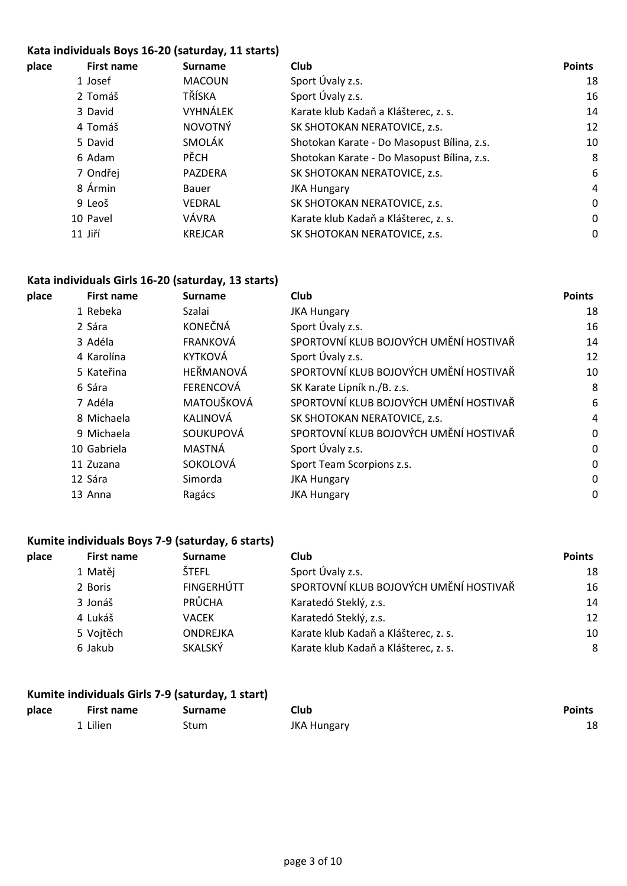#### **Kata individuals Boys 16-20 (saturday, 11 starts)**

| place | <b>First name</b> | <b>Surname</b> | Club                                       | <b>Points</b> |
|-------|-------------------|----------------|--------------------------------------------|---------------|
|       | 1 Josef           | <b>MACOUN</b>  | Sport Úvaly z.s.                           | 18            |
|       | 2 Tomáš           | TŘÍSKA         | Sport Úvaly z.s.                           | 16            |
|       | 3 David           | VYHNÁLEK       | Karate klub Kadaň a Klášterec, z. s.       | 14            |
|       | 4 Tomáš           | <b>NOVOTNÝ</b> | SK SHOTOKAN NERATOVICE, z.s.               | 12            |
|       | 5 David           | <b>SMOLÁK</b>  | Shotokan Karate - Do Masopust Bílina, z.s. | 10            |
|       | 6 Adam            | <b>PĚCH</b>    | Shotokan Karate - Do Masopust Bílina, z.s. | 8             |
|       | 7 Ondřej          | PAZDERA        | SK SHOTOKAN NERATOVICE, z.s.               | 6             |
|       | 8 Ármin           | Bauer          | <b>JKA Hungary</b>                         | 4             |
|       | 9 Leoš            | VEDRAL         | SK SHOTOKAN NERATOVICE, z.s.               | 0             |
|       | 10 Pavel          | VÁVRA          | Karate klub Kadaň a Klášterec, z. s.       | 0             |
|       | 11 Jiří           | <b>KREJCAR</b> | SK SHOTOKAN NERATOVICE, z.s.               | 0             |
|       |                   |                |                                            |               |

#### **Kata individuals Girls 16-20 (saturday, 13 starts)**

| place | <b>First name</b> | <b>Surname</b>   | Club                                   | <b>Points</b> |
|-------|-------------------|------------------|----------------------------------------|---------------|
|       | 1 Rebeka          | Szalai           | <b>JKA Hungary</b>                     | 18            |
|       | 2 Sára            | <b>KONEČNÁ</b>   | Sport Úvaly z.s.                       | 16            |
|       | 3 Adéla           | <b>FRANKOVÁ</b>  | SPORTOVNÍ KLUB BOJOVÝCH UMĚNÍ HOSTIVAŘ | 14            |
|       | 4 Karolína        | <b>KYTKOVÁ</b>   | Sport Úvaly z.s.                       | 12            |
|       | 5 Kateřina        | HEŘMANOVÁ        | SPORTOVNÍ KLUB BOJOVÝCH UMĚNÍ HOSTIVAŘ | 10            |
|       | 6 Sára            | <b>FERENCOVÁ</b> | SK Karate Lipník n./B. z.s.            | 8             |
|       | 7 Adéla           | MATOUŠKOVÁ       | SPORTOVNÍ KLUB BOJOVÝCH UMĚNÍ HOSTIVAŘ | 6             |
|       | 8 Michaela        | KALINOVÁ         | SK SHOTOKAN NERATOVICE, z.s.           | 4             |
|       | 9 Michaela        | SOUKUPOVÁ        | SPORTOVNÍ KLUB BOJOVÝCH UMĚNÍ HOSTIVAŘ | 0             |
|       | 10 Gabriela       | MASTNÁ           | Sport Úvaly z.s.                       | 0             |
|       | 11 Zuzana         | SOKOLOVÁ         | Sport Team Scorpions z.s.              | 0             |
|       | 12 Sára           | Simorda          | <b>JKA Hungary</b>                     | 0             |
|       | 13 Anna           | Ragács           | <b>JKA Hungary</b>                     | 0             |
|       |                   |                  |                                        |               |

#### **Kumite individuals Boys 7-9 (saturday, 6 starts)**

| <b>First name</b> | <b>Surname</b>    | Club                                   | <b>Points</b> |
|-------------------|-------------------|----------------------------------------|---------------|
| 1 Matěj           | ŠTEFL             | Sport Úvaly z.s.                       | 18            |
| 2 Boris           | <b>FINGERHÚTT</b> | SPORTOVNÍ KLUB BOJOVÝCH UMĚNÍ HOSTIVAŘ | 16            |
| 3 Jonáš           | PRŮCHA            | Karatedó Steklý, z.s.                  | 14            |
| 4 Lukáš           | VACEK             | Karatedó Steklý, z.s.                  | 12            |
| 5 Vojtěch         | ONDREJKA          | Karate klub Kadaň a Klášterec, z. s.   | 10            |
| 6 Jakub           | SKALSKÝ           | Karate klub Kadaň a Klášterec, z. s.   | 8             |
|                   |                   |                                        |               |

#### **Kumite individuals Girls 7-9 (saturday, 1 start)**

| place | <b>First name</b> | Surname | Club               | <b>Points</b> |
|-------|-------------------|---------|--------------------|---------------|
|       | 1 Lilien          | Stum    | <b>JKA Hungary</b> | 18            |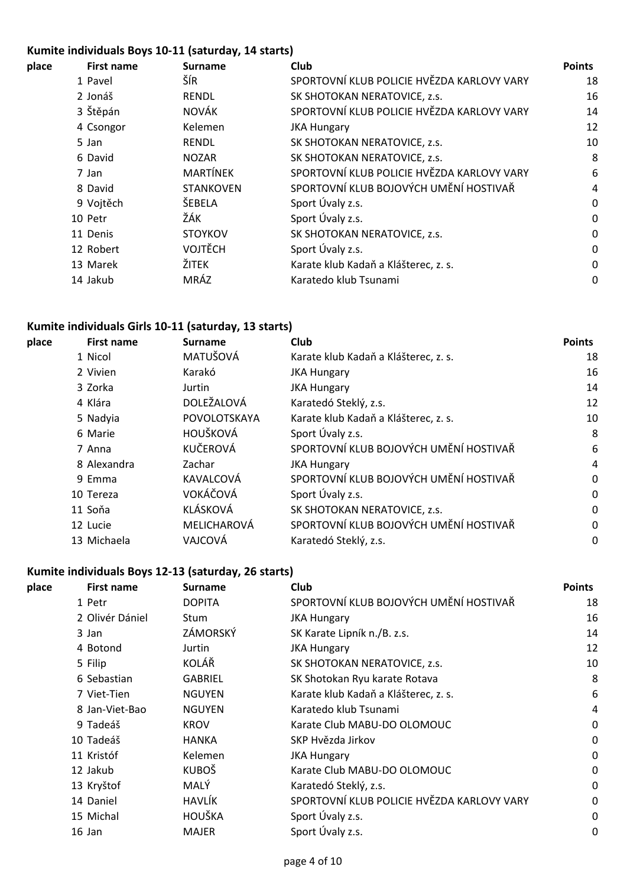# **Kumite individuals Boys 10-11 (saturday, 14 starts)**

| place | First name | <b>Surname</b>   | <b>Club</b>                                | <b>Points</b> |
|-------|------------|------------------|--------------------------------------------|---------------|
|       | 1 Pavel    | ŠÍR              | SPORTOVNÍ KLUB POLICIE HVĚZDA KARLOVY VARY | 18            |
|       | 2 Jonáš    | <b>RENDL</b>     | SK SHOTOKAN NERATOVICE, z.s.               | 16            |
|       | 3 Štěpán   | NOVÁK            | SPORTOVNÍ KLUB POLICIE HVĚZDA KARLOVY VARY | 14            |
|       | 4 Csongor  | Kelemen          | <b>JKA Hungary</b>                         | 12            |
|       | 5 Jan      | <b>RENDL</b>     | SK SHOTOKAN NERATOVICE, z.s.               | 10            |
|       | 6 David    | <b>NOZAR</b>     | SK SHOTOKAN NERATOVICE, z.s.               | 8             |
|       | 7 Jan      | <b>MARTÍNEK</b>  | SPORTOVNÍ KLUB POLICIE HVĚZDA KARLOVY VARY | 6             |
|       | 8 David    | <b>STANKOVEN</b> | SPORTOVNÍ KLUB BOJOVÝCH UMĚNÍ HOSTIVAŘ     | 4             |
|       | 9 Vojtěch  | ŠEBELA           | Sport Úvaly z.s.                           | 0             |
|       | 10 Petr    | ŽÁK              | Sport Úvaly z.s.                           | 0             |
|       | 11 Denis   | <b>STOYKOV</b>   | SK SHOTOKAN NERATOVICE, z.s.               | 0             |
|       | 12 Robert  | <b>VOJTĚCH</b>   | Sport Úvaly z.s.                           | 0             |
|       | 13 Marek   | ŽITEK            | Karate klub Kadaň a Klášterec, z. s.       | 0             |
|       | 14 Jakub   | MRÁZ             | Karatedo klub Tsunami                      | 0             |
|       |            |                  |                                            |               |

## **Kumite individuals Girls 10-11 (saturday, 13 starts)**

| place | <b>First name</b> | <b>Surname</b> | <b>Club</b>                            | <b>Points</b> |
|-------|-------------------|----------------|----------------------------------------|---------------|
|       | 1 Nicol           | MATUŠOVÁ       | Karate klub Kadaň a Klášterec, z. s.   | 18            |
|       | 2 Vivien          | Karakó         | <b>JKA Hungary</b>                     | 16            |
|       | 3 Zorka           | Jurtin         | <b>JKA Hungary</b>                     | 14            |
|       | 4 Klára           | DOLEŽALOVÁ     | Karatedó Steklý, z.s.                  | 12            |
|       | 5 Nadyia          | POVOLOTSKAYA   | Karate klub Kadaň a Klášterec, z. s.   | 10            |
|       | 6 Marie           | HOUŠKOVÁ       | Sport Úvaly z.s.                       | 8             |
|       | 7 Anna            | KUČEROVÁ       | SPORTOVNÍ KLUB BOJOVÝCH UMĚNÍ HOSTIVAŘ | 6             |
|       | 8 Alexandra       | Zachar         | <b>JKA Hungary</b>                     | 4             |
|       | 9 Emma            | KAVALCOVÁ      | SPORTOVNÍ KLUB BOJOVÝCH UMĚNÍ HOSTIVAŘ | 0             |
|       | 10 Tereza         | VOKÁČOVÁ       | Sport Úvaly z.s.                       | $\mathbf{0}$  |
|       | 11 Soňa           | KLÁSKOVÁ       | SK SHOTOKAN NERATOVICE, z.s.           | 0             |
|       | 12 Lucie          | MELICHAROVÁ    | SPORTOVNÍ KLUB BOJOVÝCH UMĚNÍ HOSTIVAŘ | 0             |
|       | 13 Michaela       | VAJCOVÁ        | Karatedó Steklý, z.s.                  | 0             |
|       |                   |                |                                        |               |

# **Kumite individuals Boys 12-13 (saturday, 26 starts)**

| place | <b>First name</b> | <b>Surname</b> | Club                                       | <b>Points</b> |
|-------|-------------------|----------------|--------------------------------------------|---------------|
|       | 1 Petr            | <b>DOPITA</b>  | SPORTOVNÍ KLUB BOJOVÝCH UMĚNÍ HOSTIVAŘ     | 18            |
|       | 2 Olivér Dániel   | Stum           | <b>JKA Hungary</b>                         | 16            |
|       | 3 Jan             | ZÁMORSKÝ       | SK Karate Lipník n./B. z.s.                | 14            |
|       | 4 Botond          | Jurtin         | <b>JKA Hungary</b>                         | 12            |
|       | 5 Filip           | KOLÁŘ          | SK SHOTOKAN NERATOVICE, z.s.               | 10            |
|       | 6 Sebastian       | <b>GABRIEL</b> | SK Shotokan Ryu karate Rotava              | 8             |
|       | 7 Viet-Tien       | <b>NGUYEN</b>  | Karate klub Kadaň a Klášterec, z. s.       | 6             |
|       | 8 Jan-Viet-Bao    | <b>NGUYEN</b>  | Karatedo klub Tsunami                      | 4             |
|       | 9 Tadeáš          | <b>KROV</b>    | Karate Club MABU-DO OLOMOUC                | $\mathbf 0$   |
|       | 10 Tadeáš         | <b>HANKA</b>   | SKP Hvězda Jirkov                          | $\mathbf 0$   |
|       | 11 Kristóf        | Kelemen        | <b>JKA Hungary</b>                         | 0             |
|       | 12 Jakub          | <b>KUBOŠ</b>   | Karate Club MABU-DO OLOMOUC                | 0             |
|       | 13 Kryštof        | MALÝ           | Karatedó Steklý, z.s.                      | 0             |
|       | 14 Daniel         | HAVLÍK         | SPORTOVNÍ KLUB POLICIE HVĚZDA KARLOVY VARY | 0             |
|       | 15 Michal         | HOUŠKA         | Sport Úvaly z.s.                           | 0             |
|       | 16 Jan            | <b>MAJER</b>   | Sport Úvaly z.s.                           | 0             |
|       |                   |                |                                            |               |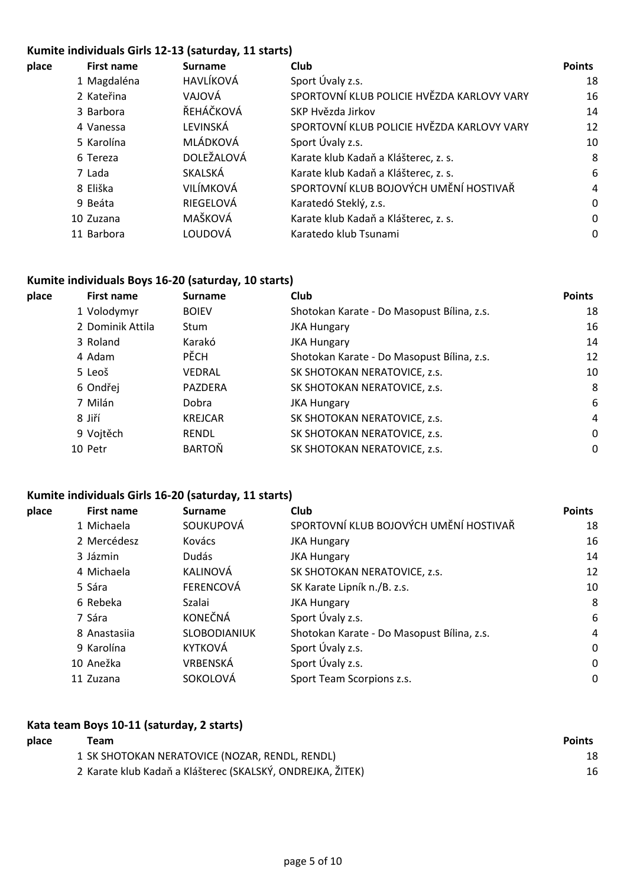#### **Kumite individuals Girls 12-13 (saturday, 11 starts)**

| <b>First name</b> | <b>Surname</b> | Club                                       | <b>Points</b> |
|-------------------|----------------|--------------------------------------------|---------------|
| 1 Magdaléna       | HAVLÍKOVÁ      | Sport Úvaly z.s.                           | 18            |
| 2 Kateřina        | VAJOVÁ         | SPORTOVNÍ KLUB POLICIE HVĚZDA KARLOVY VARY | 16            |
| 3 Barbora         | ŘEHÁČKOVÁ      | SKP Hvězda Jirkov                          | 14            |
| 4 Vanessa         | LEVINSKÁ       | SPORTOVNÍ KLUB POLICIE HVĚZDA KARLOVY VARY | 12            |
| 5 Karolína        | MLÁDKOVÁ       | Sport Úvaly z.s.                           | 10            |
| 6 Tereza          | DOLEŽALOVÁ     | Karate klub Kadaň a Klášterec, z. s.       | 8             |
| 7 Lada            | SKALSKÁ        | Karate klub Kadaň a Klášterec, z. s.       | 6             |
| 8 Eliška          | VILÍMKOVÁ      | SPORTOVNÍ KLUB BOJOVÝCH UMĚNÍ HOSTIVAŘ     | 4             |
| 9 Beáta           | RIEGELOVÁ      | Karatedó Steklý, z.s.                      | 0             |
| 10 Zuzana         | MAŠKOVÁ        | Karate klub Kadaň a Klášterec, z. s.       | 0             |
| 11 Barbora        | LOUDOVÁ        | Karatedo klub Tsunami                      | 0             |
|                   |                |                                            |               |

#### **Kumite individuals Boys 16-20 (saturday, 10 starts)**

| place | <b>First name</b> | <b>Surname</b> | <b>Club</b>                                | <b>Points</b> |
|-------|-------------------|----------------|--------------------------------------------|---------------|
|       | 1 Volodymyr       | <b>BOIEV</b>   | Shotokan Karate - Do Masopust Bílina, z.s. | 18            |
|       | 2 Dominik Attila  | <b>Stum</b>    | <b>JKA Hungary</b>                         | 16            |
|       | 3 Roland          | Karakó         | <b>JKA Hungary</b>                         | 14            |
|       | 4 Adam            | <b>PĚCH</b>    | Shotokan Karate - Do Masopust Bílina, z.s. | 12            |
|       | 5 Leoš            | VEDRAL         | SK SHOTOKAN NERATOVICE, z.s.               | 10            |
|       | 6 Ondřej          | <b>PAZDERA</b> | SK SHOTOKAN NERATOVICE, z.s.               | 8             |
|       | 7 Milán           | Dobra          | <b>JKA Hungary</b>                         | 6             |
|       | 8 Jiří            | <b>KREJCAR</b> | SK SHOTOKAN NERATOVICE, z.s.               | 4             |
|       | 9 Vojtěch         | <b>RENDL</b>   | SK SHOTOKAN NERATOVICE, z.s.               | $\Omega$      |
|       | 10 Petr           | <b>BARTOŇ</b>  | SK SHOTOKAN NERATOVICE, z.s.               | $\Omega$      |
|       |                   |                |                                            |               |

# **Kumite individuals Girls 16-20 (saturday, 11 starts)**

| place | <b>First name</b> | <b>Surname</b>   | Club                                       | <b>Points</b> |
|-------|-------------------|------------------|--------------------------------------------|---------------|
|       | 1 Michaela        | SOUKUPOVÁ        | SPORTOVNÍ KLUB BOJOVÝCH UMĚNÍ HOSTIVAŘ     | 18            |
|       | 2 Mercédesz       | Kovács           | <b>JKA Hungary</b>                         | 16            |
|       | 3 Jázmin          | Dudás            | <b>JKA Hungary</b>                         | 14            |
|       | 4 Michaela        | KALINOVÁ         | SK SHOTOKAN NERATOVICE, z.s.               | 12            |
|       | 5 Sára            | <b>FERENCOVÁ</b> | SK Karate Lipník n./B. z.s.                | 10            |
|       | 6 Rebeka          | Szalai           | <b>JKA Hungary</b>                         | 8             |
|       | 7 Sára            | <b>KONEČNÁ</b>   | Sport Úvaly z.s.                           | 6             |
|       | 8 Anastasiia      | SLOBODIANIUK     | Shotokan Karate - Do Masopust Bílina, z.s. | 4             |
|       | 9 Karolína        | <b>KYTKOVÁ</b>   | Sport Úvaly z.s.                           | 0             |
|       | 10 Anežka         | VRBENSKÁ         | Sport Úvaly z.s.                           | 0             |
|       | 11 Zuzana         | SOKOLOVÁ         | Sport Team Scorpions z.s.                  | 0             |
|       |                   |                  |                                            |               |

#### **Kata team Boys 10-11 (saturday, 2 starts)**

| place | Team                                                       | <b>Points</b> |
|-------|------------------------------------------------------------|---------------|
|       | 1 SK SHOTOKAN NERATOVICE (NOZAR, RENDL, RENDL)             | 18            |
|       | 2 Karate klub Kadaň a Klášterec (SKALSKÝ, ONDREJKA, ŽITEK) | 16            |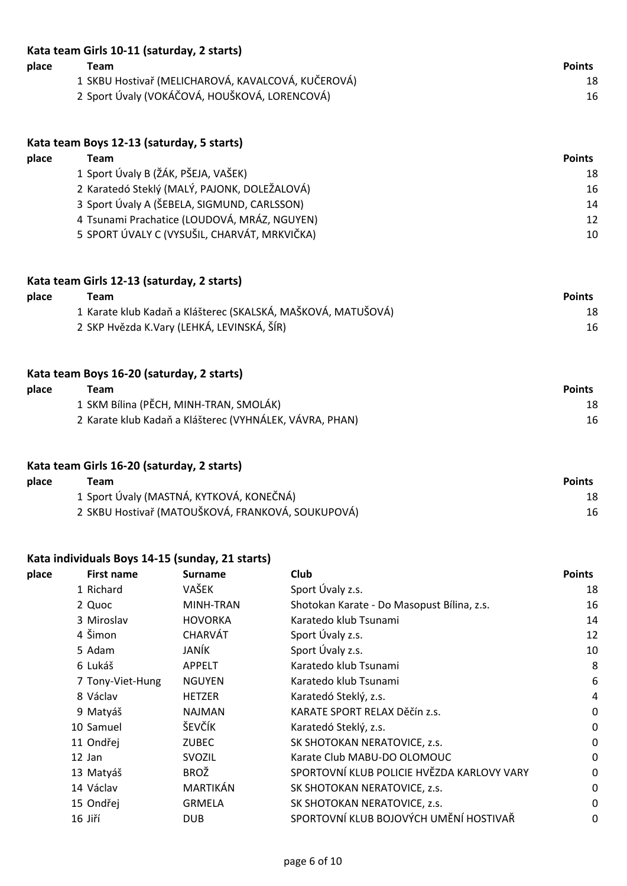| Kata team Girls 10-11 (saturday, 2 starts) |                                                    |               |  |  |  |
|--------------------------------------------|----------------------------------------------------|---------------|--|--|--|
| place                                      | Team                                               | <b>Points</b> |  |  |  |
|                                            | 1 SKBU Hostivař (MELICHAROVÁ, KAVALCOVÁ, KUČEROVÁ) | 18            |  |  |  |
|                                            | 2 Sport Úvaly (VOKÁČOVÁ, HOUŠKOVÁ, LORENCOVÁ)      | 16            |  |  |  |

|       | Kata team Boys 12-13 (saturday, 5 starts)    |               |  |  |  |
|-------|----------------------------------------------|---------------|--|--|--|
| place | Team                                         | <b>Points</b> |  |  |  |
|       | 1 Sport Úvaly B (ŽÁK, PŠEJA, VAŠEK)          | 18            |  |  |  |
|       | 2 Karatedó Steklý (MALÝ, PAJONK, DOLEŽALOVÁ) | 16            |  |  |  |
|       | 3 Sport Úvaly A (ŠEBELA, SIGMUND, CARLSSON)  | 14            |  |  |  |
|       | 4 Tsunami Prachatice (LOUDOVÁ, MRÁZ, NGUYEN) | 12            |  |  |  |
|       | 5 SPORT ÚVALY C (VYSUŠIL, CHARVÁT, MRKVIČKA) | 10            |  |  |  |

#### **Kata team Girls 12-13 (saturday, 2 starts)**

| place | Team                                                         | <b>Points</b> |
|-------|--------------------------------------------------------------|---------------|
|       | 1 Karate klub Kadaň a Klášterec (SKALSKÁ, MAŠKOVÁ, MATUŠOVÁ) | 18            |
|       | 2 SKP Hvězda K.Vary (LEHKÁ, LEVINSKÁ, ŠÍR)                   | 16            |

| Kata team Boys 16-20 (saturday, 2 starts) |                                                         |               |  |  |
|-------------------------------------------|---------------------------------------------------------|---------------|--|--|
| place                                     | Team                                                    | <b>Points</b> |  |  |
|                                           | 1 SKM Bílina (PĚCH, MINH-TRAN, SMOLÁK)                  | 18            |  |  |
|                                           | 2 Karate klub Kadaň a Klášterec (VYHNÁLEK, VÁVRA, PHAN) | 16            |  |  |

# **Kata team Girls 16-20 (saturday, 2 starts)**

| place | ™eam                                              | <b>Points</b> |
|-------|---------------------------------------------------|---------------|
|       | 1 Sport Úvaly (MASTNÁ, KYTKOVÁ, KONEČNÁ)          | 18            |
|       | 2 SKBU Hostivař (MATOUŠKOVÁ, FRANKOVÁ, SOUKUPOVÁ) | 16            |

#### **Kata individuals Boys 14-15 (sunday, 21 starts)**

| place | <b>First name</b> | <b>Surname</b> | <b>Club</b>                                | <b>Points</b> |
|-------|-------------------|----------------|--------------------------------------------|---------------|
|       | 1 Richard         | VAŠEK          | Sport Úvaly z.s.                           | 18            |
|       | 2 Quoc            | MINH-TRAN      | Shotokan Karate - Do Masopust Bílina, z.s. | 16            |
|       | 3 Miroslav        | <b>HOVORKA</b> | Karatedo klub Tsunami                      | 14            |
|       | 4 Šimon           | CHARVÁT        | Sport Úvaly z.s.                           | 12            |
|       | 5 Adam            | JANÍK          | Sport Úvaly z.s.                           | 10            |
|       | 6 Lukáš           | <b>APPELT</b>  | Karatedo klub Tsunami                      | 8             |
|       | 7 Tony-Viet-Hung  | <b>NGUYEN</b>  | Karatedo klub Tsunami                      | 6             |
|       | 8 Václav          | <b>HETZER</b>  | Karatedó Steklý, z.s.                      | 4             |
|       | 9 Matyáš          | <b>NAJMAN</b>  | KARATE SPORT RELAX Děčín z.s.              | 0             |
|       | 10 Samuel         | ŠEVČÍK         | Karatedó Steklý, z.s.                      | $\mathbf 0$   |
|       | 11 Ondřej         | <b>ZUBEC</b>   | SK SHOTOKAN NERATOVICE, z.s.               | 0             |
|       | 12 Jan            | SVOZIL         | Karate Club MABU-DO OLOMOUC                | 0             |
|       | 13 Matyáš         | <b>BROŽ</b>    | SPORTOVNÍ KLUB POLICIE HVĚZDA KARLOVY VARY | 0             |
|       | 14 Václav         | MARTIKÁN       | SK SHOTOKAN NERATOVICE, z.s.               | 0             |
|       | 15 Ondřej         | <b>GRMELA</b>  | SK SHOTOKAN NERATOVICE, z.s.               | 0             |
|       | 16 Jiří           | <b>DUB</b>     | SPORTOVNÍ KLUB BOJOVÝCH UMĚNÍ HOSTIVAŘ     | 0             |
|       |                   |                |                                            |               |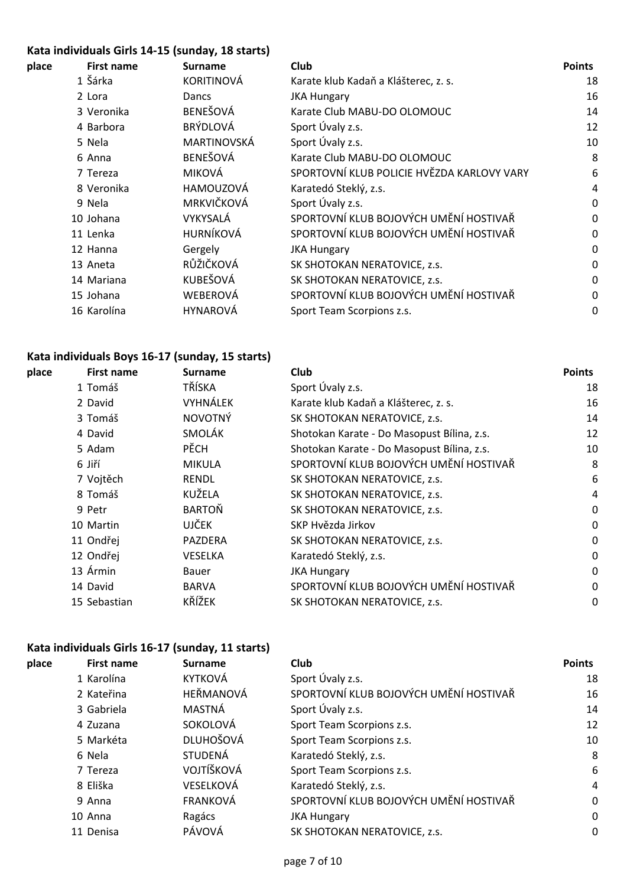# **Kata individuals Girls 14-15 (sunday, 18 starts)**

| place | First name  | <b>Surname</b>    | <b>Club</b>                                | <b>Points</b> |
|-------|-------------|-------------------|--------------------------------------------|---------------|
|       | 1 Šárka     | <b>KORITINOVÁ</b> | Karate klub Kadaň a Klášterec, z. s.       | 18            |
|       | 2 Lora      | Dancs             | <b>JKA Hungary</b>                         | 16            |
|       | 3 Veronika  | BENEŠOVÁ          | Karate Club MABU-DO OLOMOUC                | 14            |
|       | 4 Barbora   | <b>BRÝDLOVÁ</b>   | Sport Úvaly z.s.                           | 12            |
|       | 5 Nela      | MARTINOVSKÁ       | Sport Úvaly z.s.                           | 10            |
|       | 6 Anna      | BENEŠOVÁ          | Karate Club MABU-DO OLOMOUC                | 8             |
|       | 7 Tereza    | MIKOVÁ            | SPORTOVNÍ KLUB POLICIE HVĚZDA KARLOVY VARY | 6             |
|       | 8 Veronika  | HAMOUZOVÁ         | Karatedó Steklý, z.s.                      | 4             |
|       | 9 Nela      | MRKVIČKOVÁ        | Sport Úvaly z.s.                           | 0             |
|       | 10 Johana   | VYKYSALÁ          | SPORTOVNÍ KLUB BOJOVÝCH UMĚNÍ HOSTIVAŘ     | $\mathbf 0$   |
|       | 11 Lenka    | HURNÍKOVÁ         | SPORTOVNÍ KLUB BOJOVÝCH UMĚNÍ HOSTIVAŘ     | $\mathbf 0$   |
|       | 12 Hanna    | Gergely           | <b>JKA Hungary</b>                         | $\mathbf 0$   |
|       | 13 Aneta    | RŮŽIČKOVÁ         | SK SHOTOKAN NERATOVICE, z.s.               | 0             |
|       | 14 Mariana  | KUBEŠOVÁ          | SK SHOTOKAN NERATOVICE, z.s.               | 0             |
|       | 15 Johana   | WEBEROVÁ          | SPORTOVNÍ KLUB BOJOVÝCH UMĚNÍ HOSTIVAŘ     | 0             |
|       | 16 Karolína | <b>HYNAROVÁ</b>   | Sport Team Scorpions z.s.                  | 0             |
|       |             |                   |                                            |               |

# **Kata individuals Boys 16-17 (sunday, 15 starts)**

| place | <b>First name</b> | <b>Surname</b> | Club                                       | <b>Points</b> |
|-------|-------------------|----------------|--------------------------------------------|---------------|
|       | 1 Tomáš           | TŘÍSKA         | Sport Úvaly z.s.                           | 18            |
|       | 2 David           | VYHNÁLEK       | Karate klub Kadaň a Klášterec, z. s.       | 16            |
|       | 3 Tomáš           | <b>NOVOTNÝ</b> | SK SHOTOKAN NERATOVICE, z.s.               | 14            |
|       | 4 David           | SMOLÁK         | Shotokan Karate - Do Masopust Bílina, z.s. | 12            |
|       | 5 Adam            | <b>PĚCH</b>    | Shotokan Karate - Do Masopust Bílina, z.s. | 10            |
|       | 6 Jiří            | <b>MIKULA</b>  | SPORTOVNÍ KLUB BOJOVÝCH UMĚNÍ HOSTIVAŘ     | 8             |
|       | 7 Vojtěch         | <b>RENDL</b>   | SK SHOTOKAN NERATOVICE, z.s.               | 6             |
|       | 8 Tomáš           | KUŽELA         | SK SHOTOKAN NERATOVICE, z.s.               | 4             |
|       | 9 Petr            | <b>BARTOŇ</b>  | SK SHOTOKAN NERATOVICE, z.s.               | $\mathbf 0$   |
|       | 10 Martin         | <b>UJČEK</b>   | SKP Hvězda Jirkov                          | 0             |
|       | 11 Ondřej         | PAZDERA        | SK SHOTOKAN NERATOVICE, z.s.               | 0             |
|       | 12 Ondřej         | <b>VESELKA</b> | Karatedó Steklý, z.s.                      | $\mathbf 0$   |
|       | 13 Ármin          | Bauer          | <b>JKA Hungary</b>                         | $\mathbf 0$   |
|       | 14 David          | <b>BARVA</b>   | SPORTOVNÍ KLUB BOJOVÝCH UMĚNÍ HOSTIVAŘ     | 0             |
|       | 15 Sebastian      | KŘÍŽEK         | SK SHOTOKAN NERATOVICE, z.s.               | 0             |
|       |                   |                |                                            |               |

# **Kata individuals Girls 16-17 (sunday, 11 starts)**

| place | <b>First name</b> | <b>Surname</b>   | <b>Club</b>                            | <b>Points</b> |
|-------|-------------------|------------------|----------------------------------------|---------------|
|       | 1 Karolína        | <b>KYTKOVÁ</b>   | Sport Úvaly z.s.                       | 18            |
|       | 2 Kateřina        | HEŘMANOVÁ        | SPORTOVNÍ KLUB BOJOVÝCH UMĚNÍ HOSTIVAŘ | 16            |
|       | 3 Gabriela        | MASTNÁ           | Sport Úvaly z.s.                       | 14            |
|       | 4 Zuzana          | SOKOLOVÁ         | Sport Team Scorpions z.s.              | 12            |
|       | 5 Markéta         | <b>DLUHOŠOVÁ</b> | Sport Team Scorpions z.s.              | 10            |
|       | 6 Nela            | <b>STUDENÁ</b>   | Karatedó Steklý, z.s.                  | 8             |
|       | 7 Tereza          | VOJTÍŠKOVÁ       | Sport Team Scorpions z.s.              | 6             |
|       | 8 Eliška          | VESELKOVÁ        | Karatedó Steklý, z.s.                  | 4             |
|       | 9 Anna            | <b>FRANKOVÁ</b>  | SPORTOVNÍ KLUB BOJOVÝCH UMĚNÍ HOSTIVAŘ | 0             |
|       | 10 Anna           | Ragács           | <b>JKA Hungary</b>                     | 0             |
|       | 11 Denisa         | PÁVOVÁ           | SK SHOTOKAN NERATOVICE, z.s.           | $\mathbf{0}$  |
|       |                   |                  |                                        |               |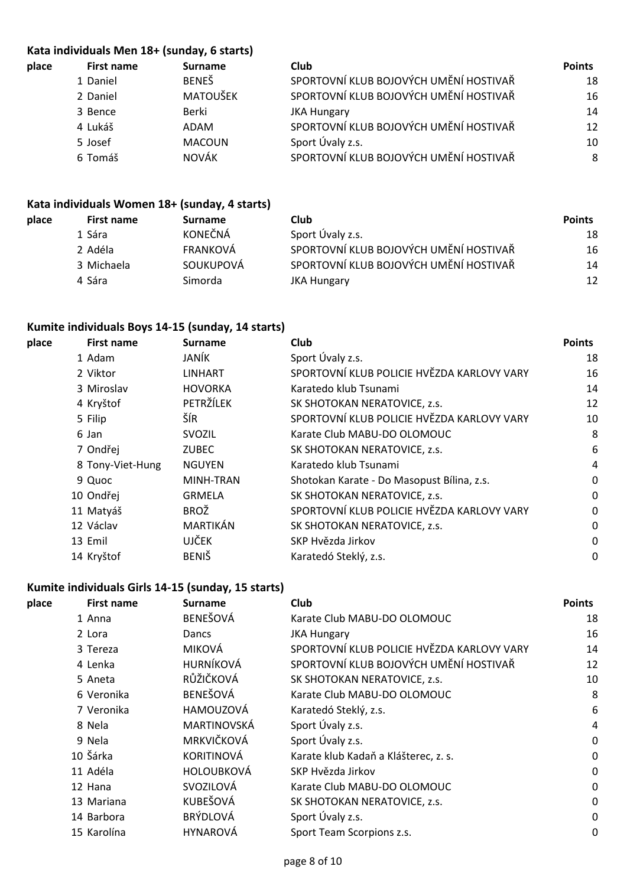#### **Kata individuals Men 18+ (sunday, 6 starts)**

| place | First name | <b>Surname</b>  | Club                                   | <b>Points</b> |
|-------|------------|-----------------|----------------------------------------|---------------|
|       | 1 Daniel   | <b>BENEŠ</b>    | SPORTOVNÍ KLUB BOJOVÝCH UMĚNÍ HOSTIVAŘ | 18            |
|       | 2 Daniel   | <b>MATOUŠEK</b> | SPORTOVNÍ KLUB BOJOVÝCH UMĚNÍ HOSTIVAŘ | 16            |
|       | 3 Bence    | Berki           | <b>JKA Hungary</b>                     | 14            |
|       | 4 Lukáš    | ADAM            | SPORTOVNÍ KLUB BOJOVÝCH UMĚNÍ HOSTIVAŘ | 12            |
|       | 5 Josef    | <b>MACOUN</b>   | Sport Úvaly z.s.                       | 10            |
|       | 6 Tomáš    | <b>NOVÁK</b>    | SPORTOVNÍ KLUB BOJOVÝCH UMĚNÍ HOSTIVAŘ | 8             |
|       |            |                 |                                        |               |

## **Kata individuals Women 18+ (sunday, 4 starts)**

| place | First name | <b>Surname</b> | <b>Club</b>                            | <b>Points</b> |
|-------|------------|----------------|----------------------------------------|---------------|
|       | 1 Sára     | <b>KONEČNÁ</b> | Sport Úvaly z.s.                       | 18            |
|       | 2 Adéla    | FRANKOVÁ       | SPORTOVNÍ KLUB BOJOVÝCH UMĚNÍ HOSTIVAŘ | 16            |
|       | 3 Michaela | SOUKUPOVÁ      | SPORTOVNÍ KLUB BOJOVÝCH UMĚNÍ HOSTIVAŘ | 14            |
|       | 4 Sára     | Simorda        | <b>JKA Hungary</b>                     | 12            |
|       |            |                |                                        |               |

#### **Kumite individuals Boys 14-15 (sunday, 14 starts)**

| place | <b>First name</b> | <b>Surname</b> | <b>Club</b>                                | <b>Points</b> |
|-------|-------------------|----------------|--------------------------------------------|---------------|
|       | 1 Adam            | JANÍK          | Sport Úvaly z.s.                           | 18            |
|       | 2 Viktor          | <b>LINHART</b> | SPORTOVNÍ KLUB POLICIE HVĚZDA KARLOVY VARY | 16            |
|       | 3 Miroslav        | <b>HOVORKA</b> | Karatedo klub Tsunami                      | 14            |
|       | 4 Kryštof         | PETRŽÍLEK      | SK SHOTOKAN NERATOVICE, z.s.               | 12            |
|       | 5 Filip           | ŠÍR            | SPORTOVNÍ KLUB POLICIE HVĚZDA KARLOVY VARY | 10            |
|       | 6 Jan             | <b>SVOZIL</b>  | Karate Club MABU-DO OLOMOUC                | 8             |
|       | 7 Ondřej          | <b>ZUBEC</b>   | SK SHOTOKAN NERATOVICE, z.s.               | 6             |
|       | 8 Tony-Viet-Hung  | <b>NGUYEN</b>  | Karatedo klub Tsunami                      | 4             |
|       | 9 Quoc            | MINH-TRAN      | Shotokan Karate - Do Masopust Bílina, z.s. | 0             |
|       | 10 Ondřej         | <b>GRMELA</b>  | SK SHOTOKAN NERATOVICE, z.s.               | 0             |
|       | 11 Matyáš         | <b>BROŽ</b>    | SPORTOVNÍ KLUB POLICIE HVĚZDA KARLOVY VARY | 0             |
|       | 12 Václav         | MARTIKÁN       | SK SHOTOKAN NERATOVICE, z.s.               | 0             |
|       | 13 Emil           | <b>UJČEK</b>   | SKP Hvězda Jirkov                          | 0             |
|       | 14 Kryštof        | <b>BENIŠ</b>   | Karatedó Steklý, z.s.                      | $\mathbf{0}$  |
|       |                   |                |                                            |               |

# **Kumite individuals Girls 14-15 (sunday, 15 starts)**

| place | <b>First name</b> | <b>Surname</b>    | Club                                       | <b>Points</b> |
|-------|-------------------|-------------------|--------------------------------------------|---------------|
|       | 1 Anna            | BENEŠOVÁ          | Karate Club MABU-DO OLOMOUC                | 18            |
|       | 2 Lora            | Dancs             | <b>JKA Hungary</b>                         | 16            |
|       | 3 Tereza          | <b>MIKOVÁ</b>     | SPORTOVNÍ KLUB POLICIE HVĚZDA KARLOVY VARY | 14            |
|       | 4 Lenka           | HURNÍKOVÁ         | SPORTOVNÍ KLUB BOJOVÝCH UMĚNÍ HOSTIVAŘ     | 12            |
|       | 5 Aneta           | RŮŽIČKOVÁ         | SK SHOTOKAN NERATOVICE, z.s.               | 10            |
|       | 6 Veronika        | BENEŠOVÁ          | Karate Club MABU-DO OLOMOUC                | 8             |
|       | 7 Veronika        | HAMOUZOVÁ         | Karatedó Steklý, z.s.                      | 6             |
|       | 8 Nela            | MARTINOVSKÁ       | Sport Úvaly z.s.                           | 4             |
|       | 9 Nela            | MRKVIČKOVÁ        | Sport Úvaly z.s.                           | 0             |
|       | 10 Šárka          | <b>KORITINOVÁ</b> | Karate klub Kadaň a Klášterec, z. s.       | 0             |
|       | 11 Adéla          | <b>HOLOUBKOVÁ</b> | SKP Hvězda Jirkov                          | 0             |
|       | 12 Hana           | SVOZILOVÁ         | Karate Club MABU-DO OLOMOUC                | 0             |
|       | 13 Mariana        | KUBEŠOVÁ          | SK SHOTOKAN NERATOVICE, z.s.               | 0             |
|       | 14 Barbora        | <b>BRÝDLOVÁ</b>   | Sport Úvaly z.s.                           | 0             |
|       | 15 Karolína       | <b>HYNAROVÁ</b>   | Sport Team Scorpions z.s.                  | 0             |
|       |                   |                   |                                            |               |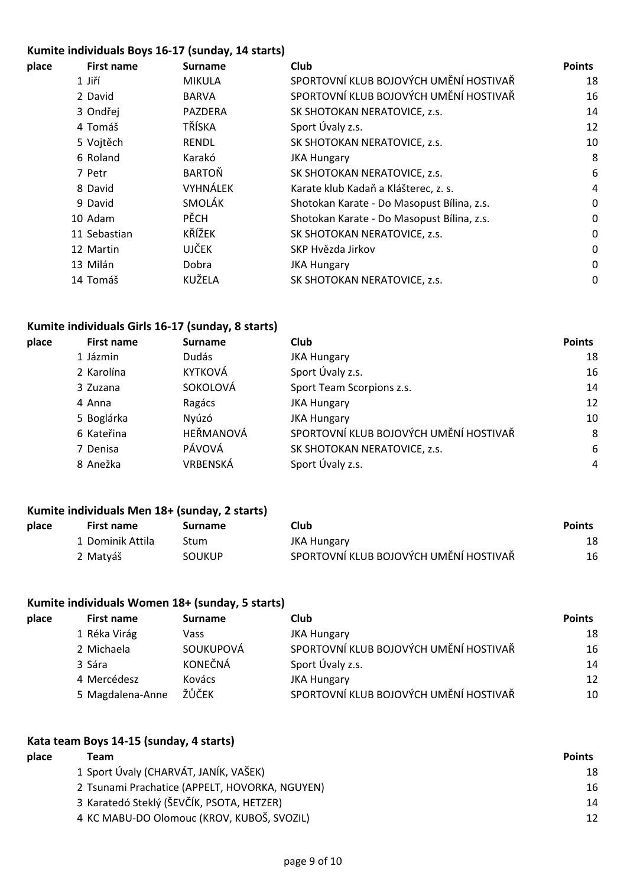#### **Kumite individuals Boys 16-17 (sunday, 14 starts)**

| place | <b>First name</b> | <b>Surname</b> | <b>Club</b>                                | <b>Points</b> |
|-------|-------------------|----------------|--------------------------------------------|---------------|
|       | 1 Jiří            | <b>MIKULA</b>  | SPORTOVNÍ KLUB BOJOVÝCH UMĚNÍ HOSTIVAŘ     | 18            |
|       | 2 David           | <b>BARVA</b>   | SPORTOVNÍ KLUB BOJOVÝCH UMĚNÍ HOSTIVAŘ     | 16            |
|       | 3 Ondřej          | PAZDERA        | SK SHOTOKAN NERATOVICE, z.s.               | 14            |
|       | 4 Tomáš           | TŘÍSKA         | Sport Úvaly z.s.                           | 12            |
|       | 5 Vojtěch         | <b>RENDL</b>   | SK SHOTOKAN NERATOVICE, z.s.               | 10            |
|       | 6 Roland          | Karakó         | <b>JKA Hungary</b>                         | 8             |
|       | 7 Petr            | <b>BARTOŇ</b>  | SK SHOTOKAN NERATOVICE, z.s.               | 6             |
|       | 8 David           | VYHNÁLEK       | Karate klub Kadaň a Klášterec, z. s.       | 4             |
|       | 9 David           | SMOLÁK         | Shotokan Karate - Do Masopust Bílina, z.s. | 0             |
|       | 10 Adam           | <b>PĚCH</b>    | Shotokan Karate - Do Masopust Bílina, z.s. | 0             |
|       | 11 Sebastian      | KŘÍŽEK         | SK SHOTOKAN NERATOVICE, z.s.               | 0             |
|       | 12 Martin         | <b>UJČEK</b>   | SKP Hvězda Jirkov                          | 0             |
|       | 13 Milán          | Dobra          | <b>JKA Hungary</b>                         | $\mathbf 0$   |
|       | 14 Tomáš          | KUŽELA         | SK SHOTOKAN NERATOVICE, z.s.               | 0             |
|       |                   |                |                                            |               |

#### **Kumite individuals Girls 16-17 (sunday, 8 starts)**

| place | <b>First name</b> | <b>Surname</b> | <b>Club</b>                            | <b>Points</b>  |
|-------|-------------------|----------------|----------------------------------------|----------------|
|       | 1 Jázmin          | Dudás          | <b>JKA Hungary</b>                     | 18             |
|       | 2 Karolína        | <b>KYTKOVÁ</b> | Sport Úvaly z.s.                       | 16             |
|       | 3 Zuzana          | SOKOLOVÁ       | Sport Team Scorpions z.s.              | 14             |
|       | 4 Anna            | Ragács         | <b>JKA Hungary</b>                     | 12             |
|       | 5 Boglárka        | Nyúzó          | <b>JKA Hungary</b>                     | 10             |
|       | 6 Kateřina        | HEŘMANOVÁ      | SPORTOVNÍ KLUB BOJOVÝCH UMĚNÍ HOSTIVAŘ | 8              |
|       | 7 Denisa          | PÁVOVÁ         | SK SHOTOKAN NERATOVICE, z.s.           | 6              |
|       | 8 Anežka          | VRBENSKÁ       | Sport Úvaly z.s.                       | $\overline{4}$ |
|       |                   |                |                                        |                |

#### **Kumite individuals Men 18+ (sunday, 2 starts)**

| place | First name       | Surname       | Club.                                  | <b>Points</b> |
|-------|------------------|---------------|----------------------------------------|---------------|
|       | 1 Dominik Attila | Stum          | JKA Hungary                            | 18            |
|       | 2 Matyáš         | <b>SOUKUP</b> | SPORTOVNÍ KLUB BOJOVÝCH UMĚNÍ HOSTIVAŘ | 16            |

#### **Kumite individuals Women 18+ (sunday, 5 starts)**

| place | First name       | <b>Surname</b> | <b>Club</b>                            | <b>Points</b> |
|-------|------------------|----------------|----------------------------------------|---------------|
|       | 1 Réka Virág     | Vass           | <b>JKA Hungary</b>                     | 18            |
|       | 2 Michaela       | SOUKUPOVÁ      | SPORTOVNÍ KLUB BOJOVÝCH UMĚNÍ HOSTIVAŘ | 16            |
|       | 3 Sára           | <b>KONEČNÁ</b> | Sport Úvaly z.s.                       | 14            |
|       | 4 Mercédesz      | Kovács         | <b>JKA Hungary</b>                     | 12            |
|       | 5 Magdalena-Anne | ŽŮČEK          | SPORTOVNÍ KLUB BOJOVÝCH UMĚNÍ HOSTIVAŘ | 10            |

#### **Kata team Boys 14-15 (sunday, 4 starts)**

| place | Team                                           | <b>Points</b> |
|-------|------------------------------------------------|---------------|
|       | 1 Sport Úvaly (CHARVÁT, JANÍK, VAŠEK)          | 18            |
|       | 2 Tsunami Prachatice (APPELT, HOVORKA, NGUYEN) | 16            |
|       | 3 Karatedó Steklý (ŠEVČÍK, PSOTA, HETZER)      | 14            |
|       | 4 KC MABU-DO Olomouc (KROV, KUBOŠ, SVOZIL)     | 12            |
|       |                                                |               |